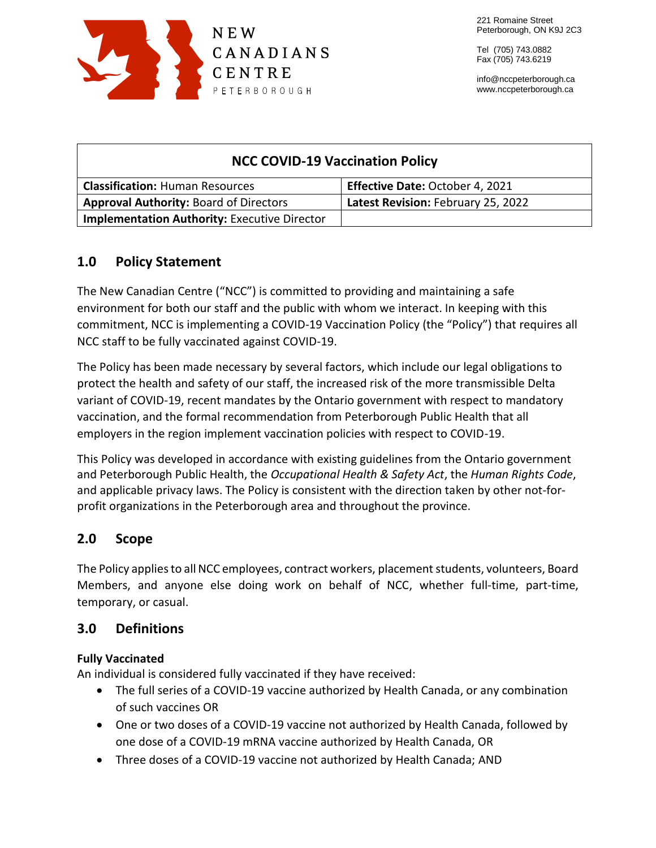

info@nccpeterborough.ca www.nccpeterborough.ca

| <b>NCC COVID-19 Vaccination Policy</b>              |                                    |
|-----------------------------------------------------|------------------------------------|
| <b>Classification: Human Resources</b>              | Effective Date: October 4, 2021    |
| <b>Approval Authority: Board of Directors</b>       | Latest Revision: February 25, 2022 |
| <b>Implementation Authority: Executive Director</b> |                                    |

# **1.0 Policy Statement**

The New Canadian Centre ("NCC") is committed to providing and maintaining a safe environment for both our staff and the public with whom we interact. In keeping with this commitment, NCC is implementing a COVID-19 Vaccination Policy (the "Policy") that requires all NCC staff to be fully vaccinated against COVID-19.

The Policy has been made necessary by several factors, which include our legal obligations to protect the health and safety of our staff, the increased risk of the more transmissible Delta variant of COVID-19, recent mandates by the Ontario government with respect to mandatory vaccination, and the formal recommendation from Peterborough Public Health that all employers in the region implement vaccination policies with respect to COVID-19.

This Policy was developed in accordance with existing guidelines from the Ontario government and Peterborough Public Health, the *Occupational Health & Safety Act*, the *Human Rights Code*, and applicable privacy laws. The Policy is consistent with the direction taken by other not-forprofit organizations in the Peterborough area and throughout the province.

# **2.0 Scope**

The Policy applies to all NCC employees, contract workers, placement students, volunteers, Board Members, and anyone else doing work on behalf of NCC, whether full-time, part-time, temporary, or casual.

# **3.0 Definitions**

### **Fully Vaccinated**

An individual is considered fully vaccinated if they have received:

- The full series of a COVID-19 vaccine authorized by Health Canada, or any combination of such vaccines OR
- One or two doses of a COVID-19 vaccine not authorized by Health Canada, followed by one dose of a COVID-19 mRNA vaccine authorized by Health Canada, OR
- Three doses of a COVID-19 vaccine not authorized by Health Canada; AND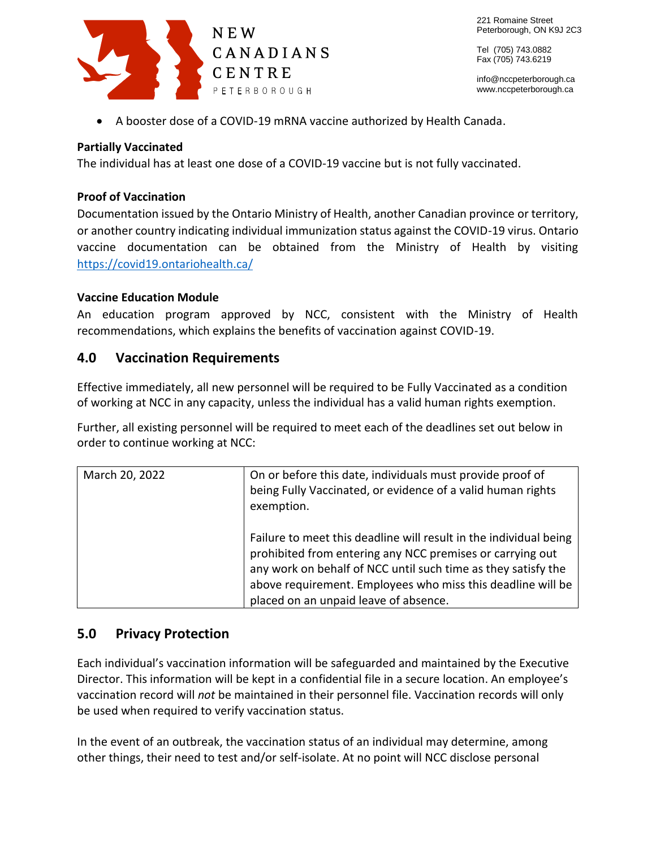

info@nccpeterborough.ca www.nccpeterborough.ca

A booster dose of a COVID-19 mRNA vaccine authorized by Health Canada.

#### **Partially Vaccinated**

The individual has at least one dose of a COVID-19 vaccine but is not fully vaccinated.

#### **Proof of Vaccination**

Documentation issued by the Ontario Ministry of Health, another Canadian province or territory, or another country indicating individual immunization status against the COVID-19 virus. Ontario vaccine documentation can be obtained from the Ministry of Health by visiting <https://covid19.ontariohealth.ca/>

#### **Vaccine Education Module**

An education program approved by NCC, consistent with the Ministry of Health recommendations, which explains the benefits of vaccination against COVID-19.

### **4.0 Vaccination Requirements**

Effective immediately, all new personnel will be required to be Fully Vaccinated as a condition of working at NCC in any capacity, unless the individual has a valid human rights exemption.

Further, all existing personnel will be required to meet each of the deadlines set out below in order to continue working at NCC:

| March 20, 2022 | On or before this date, individuals must provide proof of<br>being Fully Vaccinated, or evidence of a valid human rights<br>exemption.                                                                                                                                                                  |
|----------------|---------------------------------------------------------------------------------------------------------------------------------------------------------------------------------------------------------------------------------------------------------------------------------------------------------|
|                | Failure to meet this deadline will result in the individual being<br>prohibited from entering any NCC premises or carrying out<br>any work on behalf of NCC until such time as they satisfy the<br>above requirement. Employees who miss this deadline will be<br>placed on an unpaid leave of absence. |

#### **5.0 Privacy Protection**

Each individual's vaccination information will be safeguarded and maintained by the Executive Director. This information will be kept in a confidential file in a secure location. An employee's vaccination record will *not* be maintained in their personnel file. Vaccination records will only be used when required to verify vaccination status.

In the event of an outbreak, the vaccination status of an individual may determine, among other things, their need to test and/or self-isolate. At no point will NCC disclose personal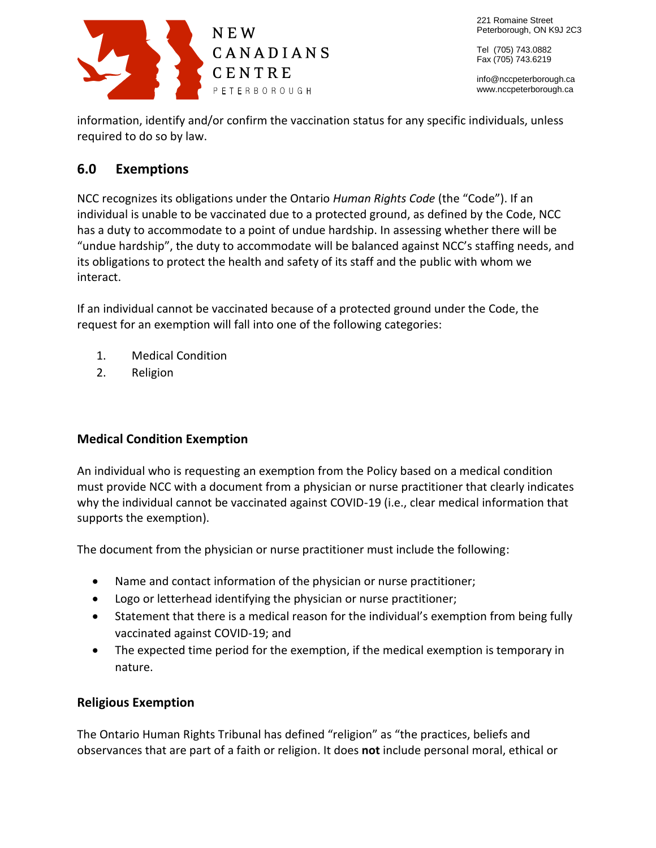

info@nccpeterborough.ca www.nccpeterborough.ca

information, identify and/or confirm the vaccination status for any specific individuals, unless required to do so by law.

# **6.0 Exemptions**

NCC recognizes its obligations under the Ontario *Human Rights Code* (the "Code"). If an individual is unable to be vaccinated due to a protected ground, as defined by the Code, NCC has a duty to accommodate to a point of undue hardship. In assessing whether there will be "undue hardship", the duty to accommodate will be balanced against NCC's staffing needs, and its obligations to protect the health and safety of its staff and the public with whom we interact.

If an individual cannot be vaccinated because of a protected ground under the Code, the request for an exemption will fall into one of the following categories:

- 1. Medical Condition
- 2. Religion

# **Medical Condition Exemption**

An individual who is requesting an exemption from the Policy based on a medical condition must provide NCC with a document from a physician or nurse practitioner that clearly indicates why the individual cannot be vaccinated against COVID-19 (i.e., clear medical information that supports the exemption).

The document from the physician or nurse practitioner must include the following:

- Name and contact information of the physician or nurse practitioner;
- Logo or letterhead identifying the physician or nurse practitioner;
- Statement that there is a medical reason for the individual's exemption from being fully vaccinated against COVID-19; and
- The expected time period for the exemption, if the medical exemption is temporary in nature.

# **Religious Exemption**

The Ontario Human Rights Tribunal has defined "religion" as "the practices, beliefs and observances that are part of a faith or religion. It does **not** include personal moral, ethical or